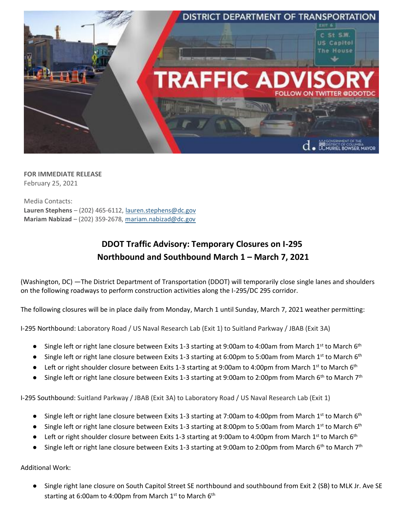

**FOR IMMEDIATE RELEASE** February 25, 2021

Media Contacts: **Lauren Stephens** – (202) 465-6112, lauren.stephens@dc.gov **Mariam Nabizad** – (202) 359-2678, mariam.nabizad@dc.gov

## **DDOT Traffic Advisory: Temporary Closures on I-295 Northbound and Southbound March 1 – March 7, 2021**

(Washington, DC) —The District Department of Transportation (DDOT) will temporarily close single lanes and shoulders on the following roadways to perform construction activities along the I-295/DC 295 corridor.

The following closures will be in place daily from Monday, March 1 until Sunday, March 7, 2021 weather permitting:

I-295 Northbound: Laboratory Road / US Naval Research Lab (Exit 1) to Suitland Parkway / JBAB (Exit 3A)

- Single left or right lane closure between Exits 1-3 starting at 9:00am to 4:00am from March 1<sup>st</sup> to March 6<sup>th</sup>
- Single left or right lane closure between Exits 1-3 starting at 6:00pm to 5:00am from March 1<sup>st</sup> to March 6<sup>th</sup>
- **•** Left or right shoulder closure between Exits 1-3 starting at 9:00am to 4:00pm from March 1<sup>st</sup> to March 6<sup>th</sup>
- Single left or right lane closure between Exits 1-3 starting at 9:00am to 2:00pm from March 6<sup>th</sup> to March 7<sup>th</sup>

I-295 Southbound: Suitland Parkway / JBAB (Exit 3A) to Laboratory Road / US Naval Research Lab (Exit 1)

- Single left or right lane closure between Exits 1-3 starting at 7:00am to 4:00pm from March 1<sup>st</sup> to March 6<sup>th</sup>
- Single left or right lane closure between Exits 1-3 starting at 8:00pm to 5:00am from March 1<sup>st</sup> to March 6<sup>th</sup>
- **•** Left or right shoulder closure between Exits 1-3 starting at 9:00am to 4:00pm from March 1st to March 6<sup>th</sup>
- Single left or right lane closure between Exits 1-3 starting at 9:00am to 2:00pm from March 6<sup>th</sup> to March 7<sup>th</sup>

Additional Work:

● Single right lane closure on South Capitol Street SE northbound and southbound from Exit 2 (SB) to MLK Jr. Ave SE starting at 6:00am to 4:00pm from March 1<sup>st</sup> to March 6<sup>th</sup>